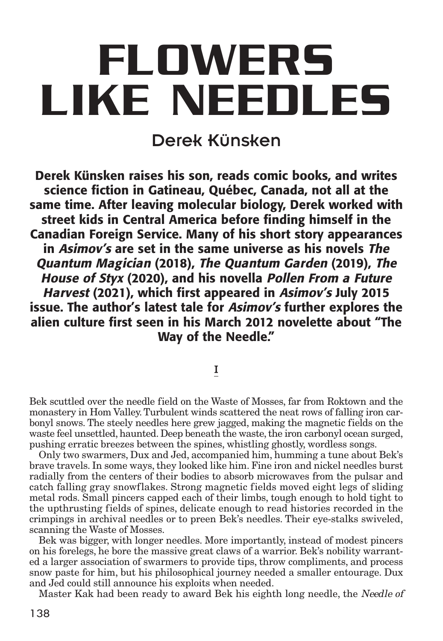# **FLOWERS LIKE NEEDLES**

# Derek Künsken

**Derek Künsken raises his son, reads comic books, and writes science fiction in Gatineau, Québec, Canada, not all at the same time. After leaving molecular biology, Derek worked with street kids in Central America before finding himself in the Canadian Foreign Service. Many of his short story appearances in Asimov's are set in the same universe as his novels The Quantum Magician (2018), The Quantum Garden (2019), The House of Styx (2020), and his novella Pollen From <sup>a</sup> Future Harvest (2021), which first appeared in Asimov's July 2015 issue. The author's latest tale for Asimov's further explores the alien culture first seen in his March 2012 novelette about "The Way of the Needle."**

I

Bek scuttled over the needle field on the Waste of Mosses, far from Roktown and the monastery in Hom Valley.Turbulent winds scattered the neat rows of falling iron carbonyl snows. The steely needles here grew jagged, making the magnetic fields on the waste feel unsettled, haunted. Deep beneath the waste, the iron carbonyl ocean surged, pushing erratic breezes between the spines, whistling ghostly, wordless songs.

Only two swarmers, Dux and Jed, accompanied him, humming a tune about Bek's brave travels. In some ways, they looked like him. Fine iron and nickel needles burst radially from the centers of their bodies to absorb microwaves from the pulsar and catch falling gray snowflakes. Strong magnetic fields moved eight legs of sliding metal rods. Small pincers capped each of their limbs, tough enough to hold tight to the upthrusting fields of spines, delicate enough to read histories recorded in the crimpings in archival needles or to preen Bek's needles. Their eye-stalks swiveled, scanning the Waste of Mosses.

Bek was bigger, with longer needles. More importantly, instead of modest pincers on his forelegs, he bore the massive great claws of a warrior. Bek's nobility warranted a larger association of swarmers to provide tips, throw compliments, and process snow paste for him, but his philosophical journey needed a smaller entourage. Dux and Jed could still announce his exploits when needed.

Master Kak had been ready to award Bek his eighth long needle, the Needle of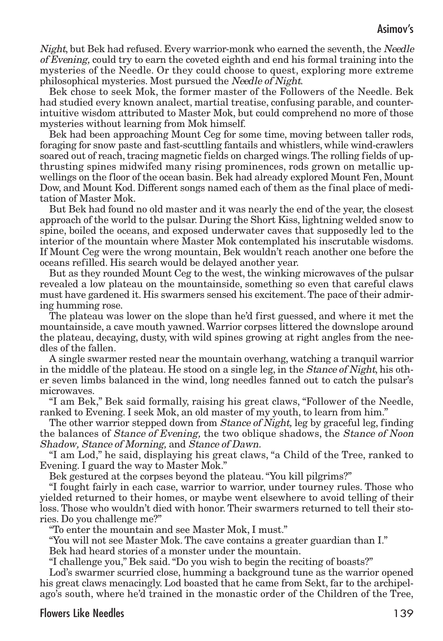Night, but Bek had refused. Every warrior-monk who earned the seventh, the Needle of Evening, could try to earn the coveted eighth and end his formal training into the mysteries of the Needle. Or they could choose to quest, exploring more extreme philosophical mysteries. Most pursued the Needle of Night.

Bek chose to seek Mok, the former master of the Followers of the Needle. Bek had studied every known analect, martial treatise, confusing parable, and counterintuitive wisdom attributed to Master Mok, but could comprehend no more of those mysteries without learning from Mok himself.

Bek had been approaching Mount Ceg for some time, moving between taller rods, foraging for snow paste and fast-scuttling fantails and whistlers, while wind-crawlers soared out of reach, tracing magnetic fields on charged wings. The rolling fields of upthrusting spines midwifed many rising prominences, rods grown on metallic upwellings on the floor of the ocean basin. Bek had already explored Mount Fen, Mount Dow, and Mount Kod. Different songs named each of them as the final place of meditation of Master Mok.

But Bek had found no old master and it was nearly the end of the year, the closest approach of the world to the pulsar. During the Short Kiss, lightning welded snow to spine, boiled the oceans, and exposed underwater caves that supposedly led to the interior of the mountain where Master Mok contemplated his inscrutable wisdoms. If Mount Ceg were the wrong mountain, Bek wouldn't reach another one before the oceans refilled. His search would be delayed another year.

But as they rounded Mount Ceg to the west, the winking microwaves of the pulsar revealed a low plateau on the mountainside, something so even that careful claws must have gardened it. His swarmers sensed his excitement.The pace of their admiring humming rose.

The plateau was lower on the slope than he'd first guessed, and where it met the mountainside, a cave mouth yawned.Warrior corpses littered the downslope around the plateau, decaying, dusty, with wild spines growing at right angles from the needles of the fallen.

A single swarmer rested near the mountain overhang, watching a tranquil warrior in the middle of the plateau. He stood on a single leg, in the Stance of Night, his other seven limbs balanced in the wind, long needles fanned out to catch the pulsar's microwaves.

"I am Bek," Bek said formally, raising his great claws, "Follower of the Needle, ranked to Evening. I seek Mok, an old master of my youth, to learn from him."

The other warrior stepped down from *Stance of Night*, leg by graceful leg, finding the balances of *Stance of Evening*, the two oblique shadows, the *Stance of Noon* Shadow, Stance of Morning, and Stance of Dawn.

"I am Lod," he said, displaying his great claws, "a Child of the Tree, ranked to Evening. I guard the way to Master Mok."

Bek gestured at the corpses beyond the plateau."You kill pilgrims?"

"I fought fairly in each case, warrior to warrior, under tourney rules. Those who yielded returned to their homes, or maybe went elsewhere to avoid telling of their loss. Those who wouldn't died with honor. Their swarmers returned to tell their stories. Do you challenge me?"

"To enter the mountain and see Master Mok, I must."

"You will not see Master Mok. The cave contains a greater guardian than I."

Bek had heard stories of a monster under the mountain.

"I challenge you," Bek said."Do you wish to begin the reciting of boasts?"

Lod's swarmer scurried close, humming a background tune as the warrior opened his great claws menacingly. Lod boasted that he came from Sekt, far to the archipelago's south, where he'd trained in the monastic order of the Children of the Tree,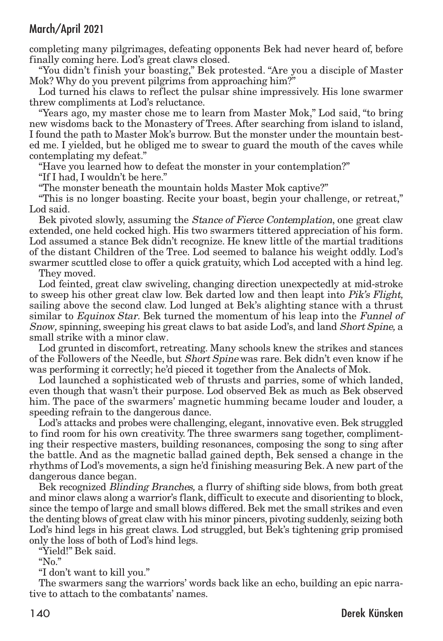completing many pilgrimages, defeating opponents Bek had never heard of, before finally coming here. Lod's great claws closed.

"You didn't finish your boasting," Bek protested. "Are you a disciple of Master Mok? Why do you prevent pilgrims from approaching him?"

Lod turned his claws to reflect the pulsar shine impressively. His lone swarmer threw compliments at Lod's reluctance.

"Years ago, my master chose me to learn from Master Mok," Lod said, "to bring new wisdoms back to the Monastery of Trees. After searching from island to island, I found the path to Master Mok's burrow. But the monster under the mountain bested me. I yielded, but he obliged me to swear to guard the mouth of the caves while contemplating my defeat."

"Have you learned how to defeat the monster in your contemplation?"

"If I had, I wouldn't be here."

"The monster beneath the mountain holds Master Mok captive?"

"This is no longer boasting. Recite your boast, begin your challenge, or retreat," Lod said.

Bek pivoted slowly, assuming the *Stance of Fierce Contemplation*, one great claw extended, one held cocked high. His two swarmers tittered appreciation of his form. Lod assumed a stance Bek didn't recognize. He knew little of the martial traditions of the distant Children of the Tree. Lod seemed to balance his weight oddly. Lod's swarmer scuttled close to offer a quick gratuity, which Lod accepted with a hind leg.

They moved.

Lod feinted, great claw swiveling, changing direction unexpectedly at mid-stroke to sweep his other great claw low. Bek darted low and then leapt into Pik's Flight, sailing above the second claw. Lod lunged at Bek's alighting stance with a thrust similar to Equinox Star. Bek turned the momentum of his leap into the Funnel of Snow, spinning, sweeping his great claws to bat aside Lod's, and land Short Spine, a small strike with a minor claw.

Lod grunted in discomfort, retreating. Many schools knew the strikes and stances of the Followers of the Needle, but *Short Spine* was rare. Bek didn't even know if he was performing it correctly; he'd pieced it together from the Analects of Mok.

Lod launched a sophisticated web of thrusts and parries, some of which landed, even though that wasn't their purpose. Lod observed Bek as much as Bek observed him. The pace of the swarmers' magnetic humming became louder and louder, a speeding refrain to the dangerous dance.

Lod's attacks and probes were challenging, elegant, innovative even. Bek struggled to find room for his own creativity. The three swarmers sang together, complimenting their respective masters, building resonances, composing the song to sing after the battle. And as the magnetic ballad gained depth, Bek sensed a change in the rhythms of Lod's movements, a sign he'd finishing measuring Bek. A new part of the dangerous dance began.

Bek recognized Blinding Branches, a flurry of shifting side blows, from both great and minor claws along a warrior's flank, difficult to execute and disorienting to block, since the tempo of large and small blows differed. Bek met the small strikes and even the denting blows of great claw with his minor pincers, pivoting suddenly, seizing both Lod's hind legs in his great claws. Lod struggled, but Bek's tightening grip promised only the loss of both of Lod's hind legs.

"Yield!" Bek said.

" $N_0$ "

"I don't want to kill you."

The swarmers sang the warriors' words back like an echo, building an epic narrative to attach to the combatants' names.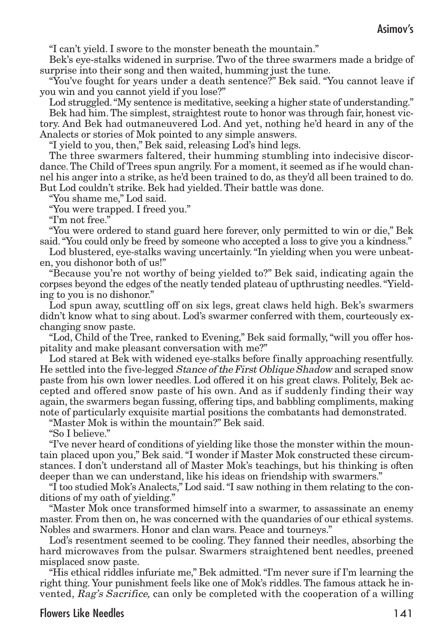"I can't yield. I swore to the monster beneath the mountain."

Bek's eye-stalks widened in surprise. Two of the three swarmers made a bridge of surprise into their song and then waited, humming just the tune.

"You've fought for years under a death sentence?" Bek said. "You cannot leave if you win and you cannot yield if you lose?"

Lod struggled."My sentence is meditative, seeking a higher state of understanding." Bek had him.The simplest, straightest route to honor was through fair, honest victory. And Bek had outmaneuvered Lod. And yet, nothing he'd heard in any of the Analects or stories of Mok pointed to any simple answers.

"I yield to you, then," Bek said, releasing Lod's hind legs.

The three swarmers faltered, their humming stumbling into indecisive discordance.The Child of Trees spun angrily. For a moment, it seemed as if he would channel his anger into a strike, as he'd been trained to do, as they'd all been trained to do. But Lod couldn't strike. Bek had yielded. Their battle was done.

"You shame me," Lod said.

"You were trapped. I freed you."

"I'm not free."

"You were ordered to stand guard here forever, only permitted to win or die," Bek said."You could only be freed by someone who accepted a loss to give you a kindness."

Lod blustered, eye-stalks waving uncertainly."In yielding when you were unbeaten, you dishonor both of us!"

"Because you're not worthy of being yielded to?" Bek said, indicating again the corpses beyond the edges of the neatly tended plateau of upthrusting needles."Yielding to you is no dishonor."

Lod spun away, scuttling off on six legs, great claws held high. Bek's swarmers didn't know what to sing about. Lod's swarmer conferred with them, courteously exchanging snow paste.

"Lod, Child of the Tree, ranked to Evening," Bek said formally,"will you offer hospitality and make pleasant conversation with me?"

Lod stared at Bek with widened eye-stalks before finally approaching resentfully. He settled into the five-legged Stance of theFirst Oblique Shadow and scraped snow paste from his own lower needles. Lod offered it on his great claws. Politely, Bek accepted and offered snow paste of his own. And as if suddenly finding their way again, the swarmers began fussing, offering tips, and babbling compliments, making note of particularly exquisite martial positions the combatants had demonstrated.

"Master Mok is within the mountain?" Bek said.

"So I believe."

"I've never heard of conditions of yielding like those the monster within the mountain placed upon you," Bek said."I wonder if Master Mok constructed these circumstances. I don't understand all of Master Mok's teachings, but his thinking is often deeper than we can understand, like his ideas on friendship with swarmers."

"I too studied Mok's Analects," Lod said."I saw nothing in them relating to the conditions of my oath of yielding."

"Master Mok once transformed himself into a swarmer, to assassinate an enemy master. From then on, he was concerned with the quandaries of our ethical systems. Nobles and swarmers. Honor and clan wars. Peace and tourneys."

Lod's resentment seemed to be cooling. They fanned their needles, absorbing the hard microwaves from the pulsar. Swarmers straightened bent needles, preened misplaced snow paste.

"His ethical riddles infuriate me," Bek admitted."I'm never sure if I'm learning the right thing. Your punishment feels like one of Mok's riddles. The famous attack he invented, Rag's Sacrifice, can only be completed with the cooperation of a willing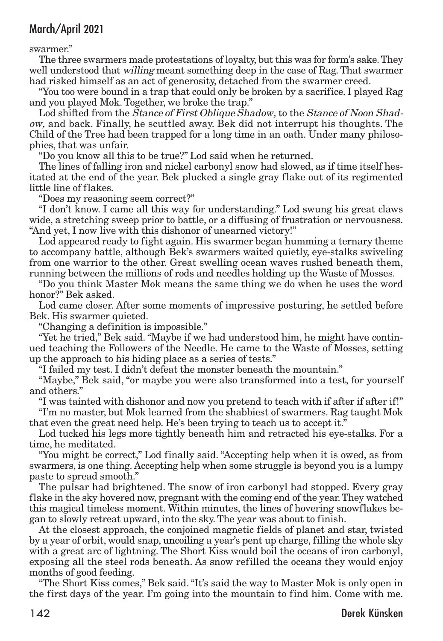swarmer."

The three swarmers made protestations of loyalty, but this was for form's sake.They well understood that *willing* meant something deep in the case of Rag. That swarmer had risked himself as an act of generosity, detached from the swarmer creed.

"You too were bound in a trap that could only be broken by a sacrifice. I played Rag and you played Mok. Together, we broke the trap."

Lod shifted from the *Stance of First Oblique Shadow*, to the *Stance of Noon Shad*ow, and back. Finally, he scuttled away. Bek did not interrupt his thoughts. The Child of the Tree had been trapped for a long time in an oath. Under many philosophies, that was unfair.

"Do you know all this to be true?" Lod said when he returned.

The lines of falling iron and nickel carbonyl snow had slowed, as if time itself hesitated at the end of the year. Bek plucked a single gray flake out of its regimented little line of flakes.

"Does my reasoning seem correct?"

"I don't know. I came all this way for understanding." Lod swung his great claws wide, a stretching sweep prior to battle, or a diffusing of frustration or nervousness. "And yet, I now live with this dishonor of unearned victory!"

Lod appeared ready to fight again. His swarmer began humming a ternary theme to accompany battle, although Bek's swarmers waited quietly, eye-stalks swiveling from one warrior to the other. Great swelling ocean waves rushed beneath them, running between the millions of rods and needles holding up the Waste of Mosses.

"Do you think Master Mok means the same thing we do when he uses the word honor?" Bek asked.

Lod came closer. After some moments of impressive posturing, he settled before Bek. His swarmer quieted.

"Changing a definition is impossible."

"Yet he tried," Bek said. "Maybe if we had understood him, he might have continued teaching the Followers of the Needle. He came to the Waste of Mosses, setting up the approach to his hiding place as a series of tests."

"I failed my test. I didn't defeat the monster beneath the mountain."

"Maybe," Bek said, "or maybe you were also transformed into a test, for yourself and others."

"I was tainted with dishonor and now you pretend to teach with if after if after if!" "I'm no master, but Mok learned from the shabbiest of swarmers. Rag taught Mok that even the great need help. He's been trying to teach us to accept it."

Lod tucked his legs more tightly beneath him and retracted his eye-stalks. For a time, he meditated.

"You might be correct," Lod finally said. "Accepting help when it is owed, as from swarmers, is one thing. Accepting help when some struggle is beyond you is a lumpy paste to spread smooth."

The pulsar had brightened. The snow of iron carbonyl had stopped. Every gray flake in the sky hovered now, pregnant with the coming end of the year.They watched this magical timeless moment. Within minutes, the lines of hovering snowflakes began to slowly retreat upward, into the sky.The year was about to finish.

At the closest approach, the conjoined magnetic fields of planet and star, twisted by a year of orbit, would snap, uncoiling a year's pent up charge, filling the whole sky with a great arc of lightning. The Short Kiss would boil the oceans of iron carbonyl, exposing all the steel rods beneath. As snow refilled the oceans they would enjoy months of good feeding.

"The Short Kiss comes," Bek said."It's said the way to Master Mok is only open in the first days of the year. I'm going into the mountain to find him. Come with me.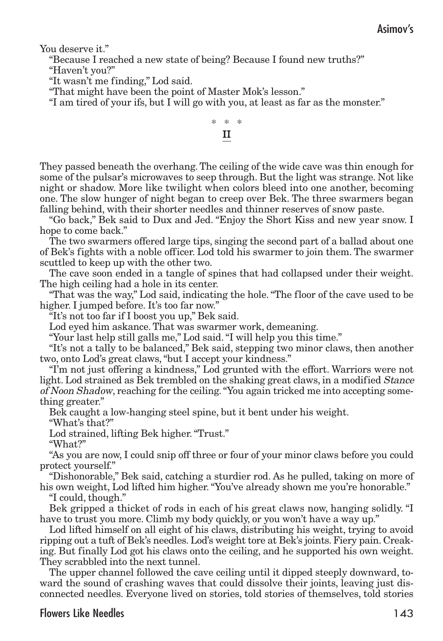You deserve it."

"Because I reached a new state of being? Because I found new truths?"

"Haven't you?"

"It wasn't me finding," Lod said.

"That might have been the point of Master Mok's lesson."

"I am tired of your ifs, but I will go with you, at least as far as the monster."

## \* \* \* II

They passed beneath the overhang.The ceiling of the wide cave was thin enough for some of the pulsar's microwaves to seep through. But the light was strange. Not like night or shadow. More like twilight when colors bleed into one another, becoming one. The slow hunger of night began to creep over Bek. The three swarmers began falling behind, with their shorter needles and thinner reserves of snow paste.

"Go back," Bek said to Dux and Jed. "Enjoy the Short Kiss and new year snow. I hope to come back."

The two swarmers offered large tips, singing the second part of a ballad about one of Bek's fights with a noble officer. Lod told his swarmer to join them. The swarmer scuttled to keep up with the other two.

The cave soon ended in a tangle of spines that had collapsed under their weight. The high ceiling had a hole in its center.

"That was the way," Lod said, indicating the hole."The floor of the cave used to be higher. I jumped before. It's too far now."

"It's not too far if I boost you up," Bek said.

Lod eyed him askance. That was swarmer work, demeaning.

"Your last help still galls me," Lod said."I will help you this time."

"It's not a tally to be balanced," Bek said, stepping two minor claws, then another two, onto Lod's great claws,"but I accept your kindness."

"I'm not just offering a kindness," Lod grunted with the effort. Warriors were not light. Lod strained as Bek trembled on the shaking great claws, in a modified Stance of Noon Shadow, reaching for the ceiling."You again tricked me into accepting something greater."

Bek caught a low-hanging steel spine, but it bent under his weight.

"What's that?"

Lod strained, lifting Bek higher."Trust."

"What?"

"As you are now, I could snip off three or four of your minor claws before you could protect yourself."

"Dishonorable," Bek said, catching a sturdier rod. As he pulled, taking on more of his own weight, Lod lifted him higher."You've already shown me you're honorable."

"I could, though."

Bek gripped a thicket of rods in each of his great claws now, hanging solidly. "I have to trust you more. Climb my body quickly, or you won't have a way up."

Lod lifted himself on all eight of his claws, distributing his weight, trying to avoid ripping out a tuft of Bek's needles. Lod's weight tore at Bek's joints. Fiery pain. Creaking. But finally Lod got his claws onto the ceiling, and he supported his own weight. They scrabbled into the next tunnel.

The upper channel followed the cave ceiling until it dipped steeply downward, toward the sound of crashing waves that could dissolve their joints, leaving just disconnected needles. Everyone lived on stories, told stories of themselves, told stories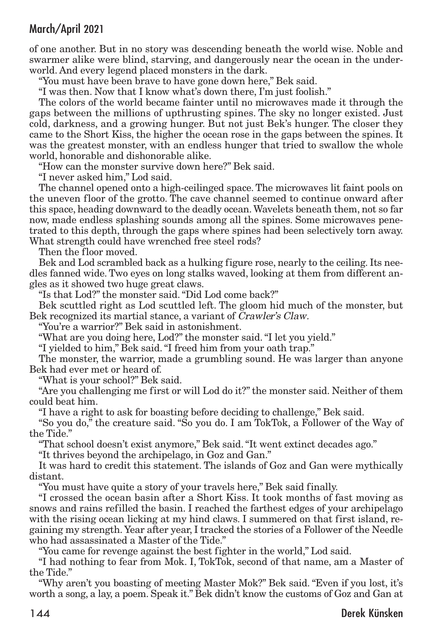of one another. But in no story was descending beneath the world wise. Noble and swarmer alike were blind, starving, and dangerously near the ocean in the underworld. And every legend placed monsters in the dark.

"You must have been brave to have gone down here," Bek said.

"I was then. Now that I know what's down there, I'm just foolish."

The colors of the world became fainter until no microwaves made it through the gaps between the millions of upthrusting spines. The sky no longer existed. Just cold, darkness, and a growing hunger. But not just Bek's hunger. The closer they came to the Short Kiss, the higher the ocean rose in the gaps between the spines. It was the greatest monster, with an endless hunger that tried to swallow the whole world, honorable and dishonorable alike.

"How can the monster survive down here?" Bek said.

"I never asked him," Lod said.

The channel opened onto a high-ceilinged space.The microwaves lit faint pools on the uneven floor of the grotto. The cave channel seemed to continue onward after this space, heading downward to the deadly ocean.Wavelets beneath them, not so far now, made endless splashing sounds among all the spines. Some microwaves penetrated to this depth, through the gaps where spines had been selectively torn away. What strength could have wrenched free steel rods?

Then the floor moved.

Bek and Lod scrambled back as a hulking figure rose, nearly to the ceiling. Its needles fanned wide. Two eyes on long stalks waved, looking at them from different angles as it showed two huge great claws.

"Is that Lod?" the monster said."Did Lod come back?"

Bek scuttled right as Lod scuttled left. The gloom hid much of the monster, but Bek recognized its martial stance, a variant of Crawler's Claw.

"You're a warrior?" Bek said in astonishment.

"What are you doing here, Lod?" the monster said."I let you yield."

"I yielded to him," Bek said."I freed him from your oath trap."

The monster, the warrior, made a grumbling sound. He was larger than anyone Bek had ever met or heard of.

"What is your school?" Bek said.

"Are you challenging me first or will Lod do it?" the monster said. Neither of them could beat him.

"I have a right to ask for boasting before deciding to challenge," Bek said.

"So you do," the creature said. "So you do. I am TokTok, a Follower of the Way of the Tide."

"That school doesn't exist anymore," Bek said."It went extinct decades ago."

"It thrives beyond the archipelago, in Goz and Gan."

It was hard to credit this statement. The islands of Goz and Gan were mythically distant.

"You must have quite a story of your travels here," Bek said finally.

"I crossed the ocean basin after a Short Kiss. It took months of fast moving as snows and rains refilled the basin. I reached the farthest edges of your archipelago with the rising ocean licking at my hind claws. I summered on that first island, regaining my strength. Year after year, I tracked the stories of a Follower of the Needle who had assassinated a Master of the Tide."

"You came for revenge against the best fighter in the world," Lod said.

"I had nothing to fear from Mok. I, TokTok, second of that name, am a Master of the Tide."

"Why aren't you boasting of meeting Master Mok?" Bek said. "Even if you lost, it's worth a song, a lay, a poem. Speak it." Bek didn't know the customs of Goz and Gan at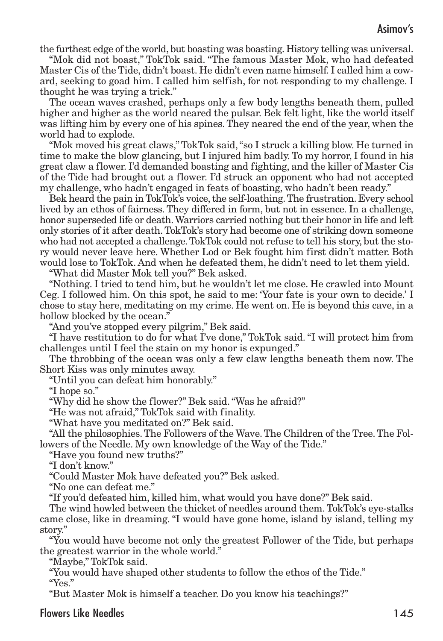the furthest edge of the world, but boasting was boasting. History telling was universal.

"Mok did not boast," TokTok said. "The famous Master Mok, who had defeated Master Cis of the Tide, didn't boast. He didn't even name himself. I called him a coward, seeking to goad him. I called him selfish, for not responding to my challenge. I thought he was trying a trick."

The ocean waves crashed, perhaps only a few body lengths beneath them, pulled higher and higher as the world neared the pulsar. Bek felt light, like the world itself was lifting him by every one of his spines.They neared the end of the year, when the world had to explode.

"Mok moved his great claws,"TokTok said,"so I struck a killing blow. He turned in time to make the blow glancing, but I injured him badly.To my horror, I found in his great claw a flower. I'd demanded boasting and fighting, and the killer of Master Cis of the Tide had brought out a flower. I'd struck an opponent who had not accepted my challenge, who hadn't engaged in feats of boasting, who hadn't been ready."

Bek heard the pain in TokTok's voice, the self-loathing. The frustration. Every school lived by an ethos of fairness. They differed in form, but not in essence. In a challenge, honor superseded life or death.Warriors carried nothing but their honor in life and left only stories of it after death.TokTok's story had become one of striking down someone who had not accepted a challenge.TokTok could not refuse to tell his story, but the story would never leave here. Whether Lod or Bek fought him first didn't matter. Both would lose to TokTok. And when he defeated them, he didn't need to let them yield.

"What did Master Mok tell you?" Bek asked.

"Nothing. I tried to tend him, but he wouldn't let me close. He crawled into Mount Ceg. I followed him. On this spot, he said to me: 'Your fate is your own to decide.' I chose to stay here, meditating on my crime. He went on. He is beyond this cave, in a hollow blocked by the ocean."

"And you've stopped every pilgrim," Bek said.

"I have restitution to do for what I've done," TokTok said. "I will protect him from challenges until I feel the stain on my honor is expunged."

The throbbing of the ocean was only a few claw lengths beneath them now. The Short Kiss was only minutes away.

"Until you can defeat him honorably."

"I hope so."

"Why did he show the flower?" Bek said."Was he afraid?"

"He was not afraid," TokTok said with finality.

"What have you meditated on?" Bek said.

"All the philosophies.The Followers of the Wave.The Children of the Tree.The Followers of the Needle. My own knowledge of the Way of the Tide."

"Have you found new truths?"

"I don't know."

"Could Master Mok have defeated you?" Bek asked.

"No one can defeat me."

"If you'd defeated him, killed him, what would you have done?" Bek said.

The wind howled between the thicket of needles around them.TokTok's eye-stalks came close, like in dreaming. "I would have gone home, island by island, telling my story."

"You would have become not only the greatest Follower of the Tide, but perhaps the greatest warrior in the whole world."

"Maybe," TokTok said.

"You would have shaped other students to follow the ethos of the Tide."

"Yes."

"But Master Mok is himself a teacher. Do you know his teachings?"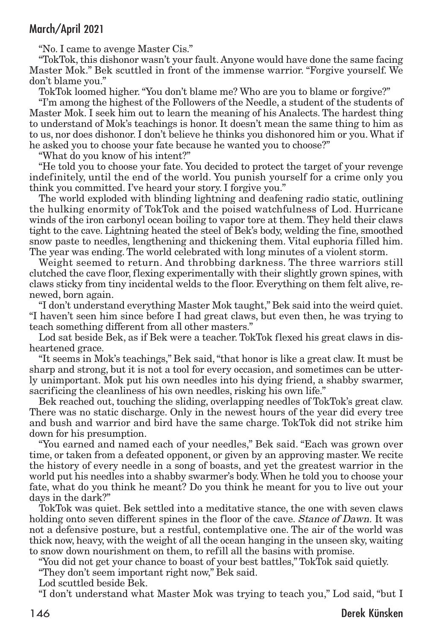"No. I came to avenge Master Cis."

"TokTok, this dishonor wasn't your fault. Anyone would have done the same facing Master Mok." Bek scuttled in front of the immense warrior. "Forgive yourself. We don't blame you."

TokTok loomed higher."You don't blame me? Who are you to blame or forgive?"

"I'm among the highest of the Followers of the Needle, a student of the students of Master Mok. I seek him out to learn the meaning of his Analects. The hardest thing to understand of Mok's teachings is honor. It doesn't mean the same thing to him as to us, nor does dishonor. I don't believe he thinks you dishonored him or you.What if he asked you to choose your fate because he wanted you to choose?"

"What do you know of his intent?"

"He told you to choose your fate. You decided to protect the target of your revenge indefinitely, until the end of the world. You punish yourself for a crime only you think you committed. I've heard your story. I forgive you."

The world exploded with blinding lightning and deafening radio static, outlining the hulking enormity of TokTok and the poised watchfulness of Lod. Hurricane winds of the iron carbonyl ocean boiling to vapor tore at them.They held their claws tight to the cave. Lightning heated the steel of Bek's body, welding the fine, smoothed snow paste to needles, lengthening and thickening them. Vital euphoria filled him. The year was ending. The world celebrated with long minutes of a violent storm.

Weight seemed to return. And throbbing darkness. The three warriors still clutched the cave floor, flexing experimentally with their slightly grown spines, with claws sticky from tiny incidental welds to the floor. Everything on them felt alive, renewed, born again.

"I don't understand everything Master Mok taught," Bek said into the weird quiet. "I haven't seen him since before I had great claws, but even then, he was trying to teach something different from all other masters."

Lod sat beside Bek, as if Bek were a teacher. TokTok flexed his great claws in disheartened grace.

"It seems in Mok's teachings," Bek said,"that honor is like a great claw. It must be sharp and strong, but it is not a tool for every occasion, and sometimes can be utterly unimportant. Mok put his own needles into his dying friend, a shabby swarmer, sacrificing the cleanliness of his own needles, risking his own life."

Bek reached out, touching the sliding, overlapping needles of TokTok's great claw. There was no static discharge. Only in the newest hours of the year did every tree and bush and warrior and bird have the same charge. TokTok did not strike him down for his presumption.

"You earned and named each of your needles," Bek said. "Each was grown over time, or taken from a defeated opponent, or given by an approving master. We recite the history of every needle in a song of boasts, and yet the greatest warrior in the world put his needles into a shabby swarmer's body.When he told you to choose your fate, what do you think he meant? Do you think he meant for you to live out your days in the dark?"

TokTok was quiet. Bek settled into a meditative stance, the one with seven claws holding onto seven different spines in the floor of the cave. *Stance of Dawn*. It was not a defensive posture, but a restful, contemplative one. The air of the world was thick now, heavy, with the weight of all the ocean hanging in the unseen sky, waiting to snow down nourishment on them, to refill all the basins with promise.

"You did not get your chance to boast of your best battles," TokTok said quietly.

"They don't seem important right now," Bek said.

Lod scuttled beside Bek.

"I don't understand what Master Mok was trying to teach you," Lod said, "but I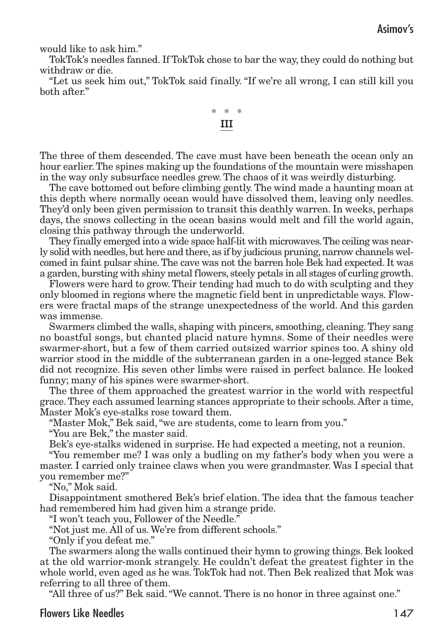would like to ask him."

TokTok's needles fanned. If TokTok chose to bar the way, they could do nothing but withdraw or die.

"Let us seek him out," TokTok said finally. "If we're all wrong, I can still kill you both after."



The three of them descended. The cave must have been beneath the ocean only an hour earlier.The spines making up the foundations of the mountain were misshapen in the way only subsurface needles grew. The chaos of it was weirdly disturbing.

The cave bottomed out before climbing gently.The wind made a haunting moan at this depth where normally ocean would have dissolved them, leaving only needles. They'd only been given permission to transit this deathly warren. In weeks, perhaps days, the snows collecting in the ocean basins would melt and fill the world again, closing this pathway through the underworld.

They finally emerged into a wide space half-lit with microwaves.The ceiling was nearly solid with needles, but here and there, as if by judicious pruning, narrow channels welcomed in faint pulsar shine.The cave was not the barren hole Bek had expected. It was a garden, bursting with shiny metal flowers, steely petals in all stages of curling growth.

Flowers were hard to grow. Their tending had much to do with sculpting and they only bloomed in regions where the magnetic field bent in unpredictable ways. Flowers were fractal maps of the strange unexpectedness of the world. And this garden was immense.

Swarmers climbed the walls, shaping with pincers, smoothing, cleaning.They sang no boastful songs, but chanted placid nature hymns. Some of their needles were swarmer-short, but a few of them carried outsized warrior spines too. A shiny old warrior stood in the middle of the subterranean garden in a one-legged stance Bek did not recognize. His seven other limbs were raised in perfect balance. He looked funny; many of his spines were swarmer-short.

The three of them approached the greatest warrior in the world with respectful grace.They each assumed learning stances appropriate to their schools. After a time, Master Mok's eye-stalks rose toward them.

"Master Mok," Bek said, "we are students, come to learn from you."

"You are Bek," the master said.

Bek's eye-stalks widened in surprise. He had expected a meeting, not a reunion.

"You remember me? I was only a budling on my father's body when you were a master. I carried only trainee claws when you were grandmaster. Was I special that you remember me?"

"No," Mok said.

Disappointment smothered Bek's brief elation. The idea that the famous teacher had remembered him had given him a strange pride.

"I won't teach you, Follower of the Needle."

"Not just me. All of us. We're from different schools."

"Only if you defeat me."

The swarmers along the walls continued their hymn to growing things. Bek looked at the old warrior-monk strangely. He couldn't defeat the greatest fighter in the whole world, even aged as he was.TokTok had not.Then Bek realized that Mok was referring to all three of them.

"All three of us?" Bek said."We cannot. There is no honor in three against one."